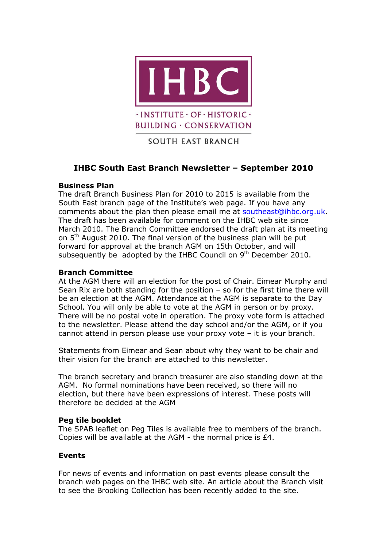

**BUILDING · CONSERVATION** 

SOUTH EAST BRANCH

# **IHBC South East Branch Newsletter – September 2010**

### **Business Plan**

The draft Branch Business Plan for 2010 to 2015 is available from the South East branch page of the Institute's web page. If you have any comments about the plan then please email me at [southeast@ihbc.org.uk.](mailto:southeast@ihbc.org.uk) The draft has been available for comment on the IHBC web site since March 2010. The Branch Committee endorsed the draft plan at its meeting on 5<sup>th</sup> August 2010. The final version of the business plan will be put forward for approval at the branch AGM on 15th October, and will subsequently be adopted by the IHBC Council on  $9<sup>th</sup>$  December 2010.

### **Branch Committee**

At the AGM there will an election for the post of Chair. Eimear Murphy and Sean Rix are both standing for the position – so for the first time there will be an election at the AGM. Attendance at the AGM is separate to the Day School. You will only be able to vote at the AGM in person or by proxy. There will be no postal vote in operation. The proxy vote form is attached to the newsletter. Please attend the day school and/or the AGM, or if you cannot attend in person please use your proxy vote – it is your branch.

Statements from Eimear and Sean about why they want to be chair and their vision for the branch are attached to this newsletter.

The branch secretary and branch treasurer are also standing down at the AGM. No formal nominations have been received, so there will no election, but there have been expressions of interest. These posts will therefore be decided at the AGM

#### **Peg tile booklet**

The SPAB leaflet on Peg Tiles is available free to members of the branch. Copies will be available at the AGM - the normal price is £4.

#### **Events**

For news of events and information on past events please consult the branch web pages on the IHBC web site. An article about the Branch visit to see the Brooking Collection has been recently added to the site.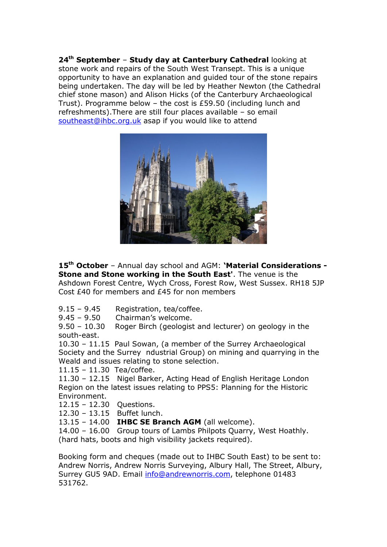**24th September** – **Study day at Canterbury Cathedral** looking at stone work and repairs of the South West Transept. This is a unique opportunity to have an explanation and guided tour of the stone repairs being undertaken. The day will be led by Heather Newton (the Cathedral chief stone mason) and Alison Hicks (of the Canterbury Archaeological Trust). Programme below – the cost is £59.50 (including lunch and refreshments).There are still four places available – so email [southeast@ihbc.org.uk](mailto:southeast@ihbc.org.uk) asap if you would like to attend



**15th October** – Annual day school and AGM: **'Material Considerations - Stone and Stone working in the South East'**. The venue is the Ashdown Forest Centre, Wych Cross, Forest Row, West Sussex. RH18 5JP Cost £40 for members and £45 for non members

- 9.15 9.45 Registration, tea/coffee.
- 9.45 9.50 Chairman's welcome.

9.50 – 10.30 Roger Birch (geologist and lecturer) on geology in the south-east.

10.30 – 11.15 Paul Sowan, (a member of the Surrey Archaeological Society and the Surrey ndustrial Group) on mining and quarrying in the Weald and issues relating to stone selection.

11.15 – 11.30 Tea/coffee.

11.30 – 12.15 Nigel Barker, Acting Head of English Heritage London Region on the latest issues relating to PPS5: Planning for the Historic Environment.

12.15 – 12.30 Questions.

12.30 – 13.15 Buffet lunch.

13.15 – 14.00 **IHBC SE Branch AGM** (all welcome).

14.00 – 16.00 Group tours of Lambs Philpots Quarry, West Hoathly. (hard hats, boots and high visibility jackets required).

Booking form and cheques (made out to IHBC South East) to be sent to: Andrew Norris, Andrew Norris Surveying, Albury Hall, The Street, Albury, Surrey GU5 9AD. Email [info@andrewnorris.com,](mailto:info@andrewnorris.com) telephone 01483 531762.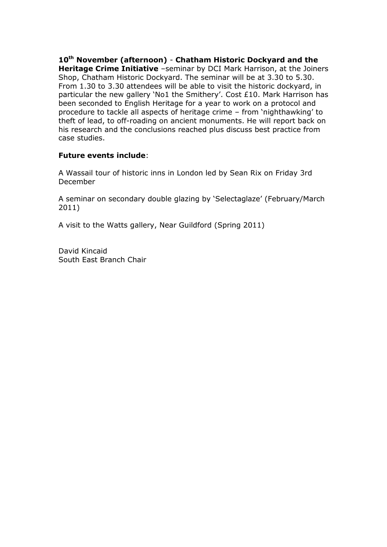**10th November (afternoon)** - **Chatham Historic Dockyard and the Heritage Crime Initiative** –seminar by DCI Mark Harrison, at the Joiners Shop, Chatham Historic Dockyard. The seminar will be at 3.30 to 5.30. From 1.30 to 3.30 attendees will be able to visit the historic dockyard, in particular the new gallery 'No1 the Smithery'. Cost £10. Mark Harrison has been seconded to English Heritage for a year to work on a protocol and procedure to tackle all aspects of heritage crime – from 'nighthawking' to theft of lead, to off-roading on ancient monuments. He will report back on his research and the conclusions reached plus discuss best practice from case studies.

# **Future events include**:

A Wassail tour of historic inns in London led by Sean Rix on Friday 3rd December

A seminar on secondary double glazing by 'Selectaglaze' (February/March 2011)

A visit to the Watts gallery, Near Guildford (Spring 2011)

David Kincaid South East Branch Chair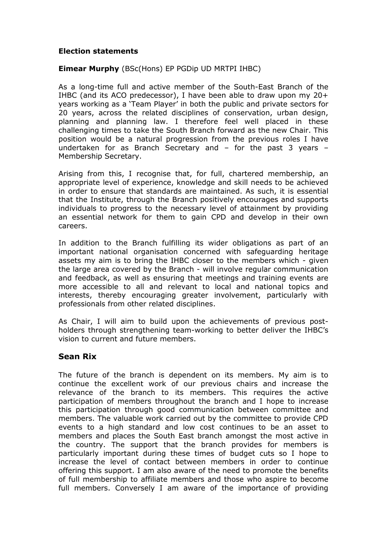### **Election statements**

# **Eimear Murphy** (BSc(Hons) EP PGDip UD MRTPI IHBC)

As a long-time full and active member of the South-East Branch of the IHBC (and its ACO predecessor), I have been able to draw upon my 20+ years working as a 'Team Player' in both the public and private sectors for 20 years, across the related disciplines of conservation, urban design, planning and planning law. I therefore feel well placed in these challenging times to take the South Branch forward as the new Chair. This position would be a natural progression from the previous roles I have undertaken for as Branch Secretary and – for the past 3 years – Membership Secretary.

Arising from this, I recognise that, for full, chartered membership, an appropriate level of experience, knowledge and skill needs to be achieved in order to ensure that standards are maintained. As such, it is essential that the Institute, through the Branch positively encourages and supports individuals to progress to the necessary level of attainment by providing an essential network for them to gain CPD and develop in their own careers.

In addition to the Branch fulfilling its wider obligations as part of an important national organisation concerned with safeguarding heritage assets my aim is to bring the IHBC closer to the members which - given the large area covered by the Branch - will involve regular communication and feedback, as well as ensuring that meetings and training events are more accessible to all and relevant to local and national topics and interests, thereby encouraging greater involvement, particularly with professionals from other related disciplines.

As Chair, I will aim to build upon the achievements of previous postholders through strengthening team-working to better deliver the IHBC's vision to current and future members.

# **Sean Rix**

The future of the branch is dependent on its members. My aim is to continue the excellent work of our previous chairs and increase the relevance of the branch to its members. This requires the active participation of members throughout the branch and I hope to increase this participation through good communication between committee and members. The valuable work carried out by the committee to provide CPD events to a high standard and low cost continues to be an asset to members and places the South East branch amongst the most active in the country. The support that the branch provides for members is particularly important during these times of budget cuts so I hope to increase the level of contact between members in order to continue offering this support. I am also aware of the need to promote the benefits of full membership to affiliate members and those who aspire to become full members. Conversely I am aware of the importance of providing